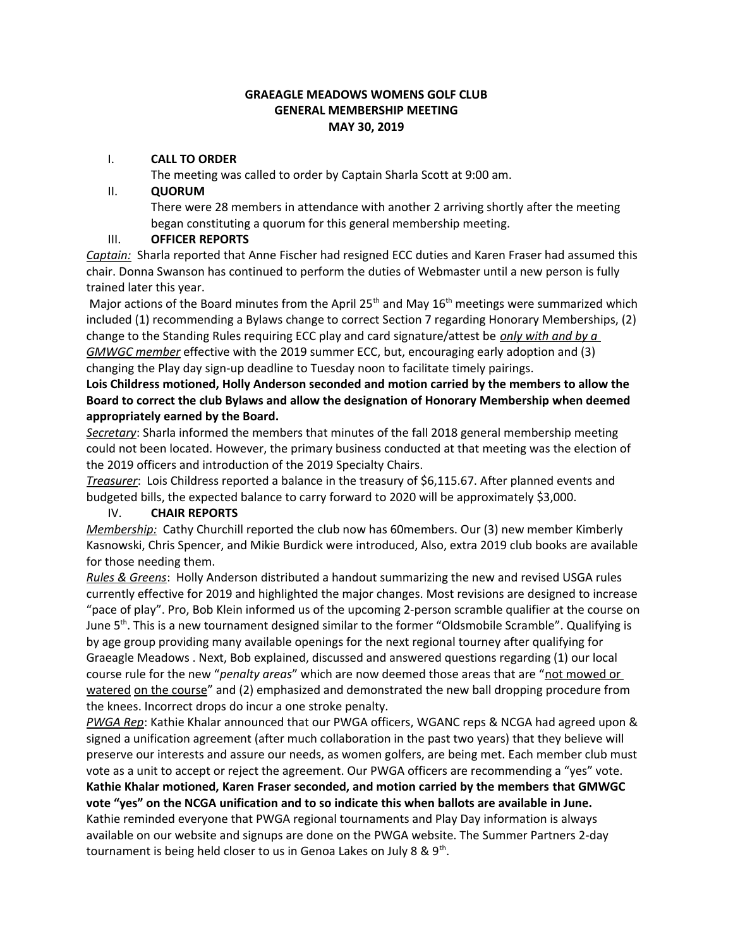#### **GRAEAGLE MEADOWS WOMENS GOLF CLUB GENERAL MEMBERSHIP MEETING MAY 30, 2019**

### I. **CALL TO ORDER**

The meeting was called to order by Captain Sharla Scott at 9:00 am.

### II. **QUORUM**

There were 28 members in attendance with another 2 arriving shortly after the meeting began constituting a quorum for this general membership meeting.

### III. **OFFICER REPORTS**

*Captain:* Sharla reported that Anne Fischer had resigned ECC duties and Karen Fraser had assumed this chair. Donna Swanson has continued to perform the duties of Webmaster until a new person is fully trained later this year.

Major actions of the Board minutes from the April 25<sup>th</sup> and May  $16<sup>th</sup>$  meetings were summarized which included (1) recommending a Bylaws change to correct Section 7 regarding Honorary Memberships, (2) change to the Standing Rules requiring ECC play and card signature/attest be *only with and by a GMWGC member* effective with the 2019 summer ECC, but, encouraging early adoption and (3) changing the Play day sign-up deadline to Tuesday noon to facilitate timely pairings.

# **Lois Childress motioned, Holly Anderson seconded and motion carried by the members to allow the Board to correct the club Bylaws and allow the designation of Honorary Membership when deemed appropriately earned by the Board.**

*Secretary*: Sharla informed the members that minutes of the fall 2018 general membership meeting could not been located. However, the primary business conducted at that meeting was the election of the 2019 officers and introduction of the 2019 Specialty Chairs.

*Treasurer*: Lois Childress reported a balance in the treasury of \$6,115.67. After planned events and budgeted bills, the expected balance to carry forward to 2020 will be approximately \$3,000.

# IV. **CHAIR REPORTS**

*Membership:* Cathy Churchill reported the club now has 60members. Our (3) new member Kimberly Kasnowski, Chris Spencer, and Mikie Burdick were introduced, Also, extra 2019 club books are available for those needing them.

*Rules & Greens*: Holly Anderson distributed a handout summarizing the new and revised USGA rules currently effective for 2019 and highlighted the major changes. Most revisions are designed to increase "pace of play". Pro, Bob Klein informed us of the upcoming 2-person scramble qualifier at the course on June 5<sup>th</sup>. This is a new tournament designed similar to the former "Oldsmobile Scramble". Qualifying is by age group providing many available openings for the next regional tourney after qualifying for Graeagle Meadows . Next, Bob explained, discussed and answered questions regarding (1) our local course rule for the new "*penalty areas*" which are now deemed those areas that are "not mowed or watered on the course" and (2) emphasized and demonstrated the new ball dropping procedure from the knees. Incorrect drops do incur a one stroke penalty.

*PWGA Rep*: Kathie Khalar announced that our PWGA officers, WGANC reps & NCGA had agreed upon & signed a unification agreement (after much collaboration in the past two years) that they believe will preserve our interests and assure our needs, as women golfers, are being met. Each member club must vote as a unit to accept or reject the agreement. Our PWGA officers are recommending a "yes" vote. **Kathie Khalar motioned, Karen Fraser seconded, and motion carried by the members that GMWGC vote "yes" on the NCGA unification and to so indicate this when ballots are available in June.** Kathie reminded everyone that PWGA regional tournaments and Play Day information is always available on our website and signups are done on the PWGA website. The Summer Partners 2-day tournament is being held closer to us in Genoa Lakes on July 8 & 9<sup>th</sup>.